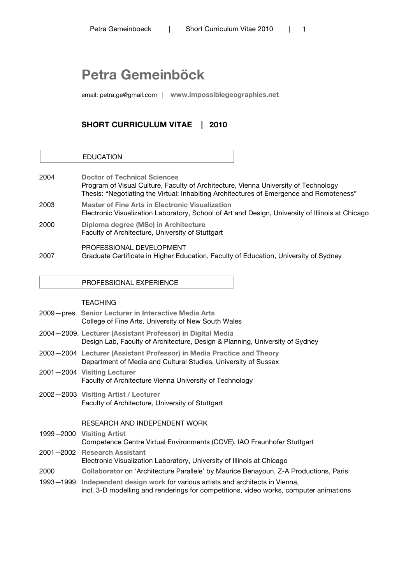# **Petra Gemeinböck**

email: petra.ge@gmail.com | **www.impossiblegeographies.net**

# **SHORT CURRICULUM VITAE | 2010**

| 2004 | <b>Doctor of Technical Sciences</b><br>Program of Visual Culture, Faculty of Architecture, Vienna University of Technology<br>Thesis: "Negotiating the Virtual: Inhabiting Architectures of Emergence and Remoteness" |
|------|-----------------------------------------------------------------------------------------------------------------------------------------------------------------------------------------------------------------------|
| 2003 | <b>Master of Fine Arts in Electronic Visualization</b><br>Electronic Visualization Laboratory, School of Art and Design, University of Illinois at Chicago                                                            |
| 2000 | Diploma degree (MSc) in Architecture<br>Faculty of Architecture, University of Stuttgart                                                                                                                              |
| 2007 | PROFESSIONAL DEVELOPMENT<br>Graduate Certificate in Higher Education, Faculty of Education, University of Sydney                                                                                                      |

PROFESSIONAL EXPERIENCE

# **TEACHING**

EDUCATION

|      | 2009 – pres. Senior Lecturer in Interactive Media Arts<br>College of Fine Arts, University of New South Wales                                                            |
|------|--------------------------------------------------------------------------------------------------------------------------------------------------------------------------|
|      | 2004-2009. Lecturer (Assistant Professor) in Digital Media<br>Design Lab, Faculty of Architecture, Design & Planning, University of Sydney                               |
|      | 2003-2004 Lecturer (Assistant Professor) in Media Practice and Theory<br>Department of Media and Cultural Studies, University of Sussex                                  |
|      | 2001–2004 Visiting Lecturer<br>Faculty of Architecture Vienna University of Technology                                                                                   |
|      | 2002-2003 Visiting Artist / Lecturer<br>Faculty of Architecture, University of Stuttgart                                                                                 |
|      | RESEARCH AND INDEPENDENT WORK                                                                                                                                            |
|      | 1999-2000 Visiting Artist<br>Competence Centre Virtual Environments (CCVE), IAO Fraunhofer Stuttgart                                                                     |
|      | 2001-2002 Research Assistant<br>Electronic Visualization Laboratory, University of Illinois at Chicago                                                                   |
| 2000 | Collaborator on 'Architecture Parallele' by Maurice Benayoun, Z-A Productions, Paris                                                                                     |
|      | 1993–1999 Independent design work for various artists and architects in Vienna,<br>incl. 3-D modelling and renderings for competitions, video works, computer animations |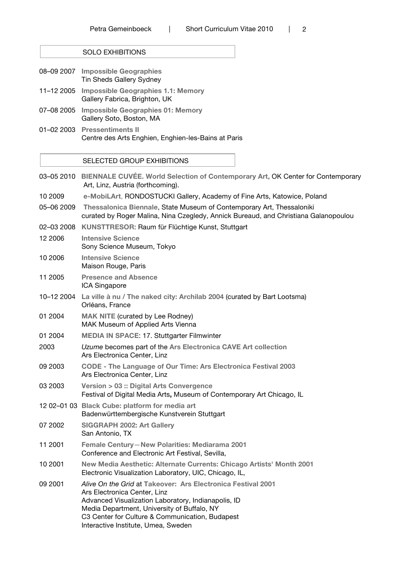SOLO EXHIBITIONS

- 08–09 2007 **Impossible Geographies** Tin Sheds Gallery Sydney 11–12 2005 **Impossible Geographies 1.1: Memory** Gallery Fabrica, Brighton, UK 07–08 2005 **Impossible Geographies 01: Memory** Gallery Soto, Boston, MA
- 01–02 2003 **Pressentiments II** Centre des Arts Enghien, Enghien-les-Bains at Paris

#### SELECTED GROUP EXHIBITIONS

- 03–05 2010 **BIENNALE CUVÉE. World Selection of Contemporary Art,** OK Center for Contemporary Art, Linz, Austria (forthcoming).
- 10 2009 **e-MobiLArt**, RONDOSTUCKI Gallery, Academy of Fine Arts, Katowice, Poland
- 05–06 2009 **Thessalonica Biennale**, State Museum of Contemporary Art, Thessaloniki curated by Roger Malina, Nina Czegledy, Annick Bureaud, and Christiana Galanopoulou
- 02–03 2008 **KUNSTTRESOR**: Raum für Flüchtige Kunst, Stuttgart

| 12 2006    | <b>Intensive Science</b><br>Sony Science Museum, Tokyo                                                                                              |
|------------|-----------------------------------------------------------------------------------------------------------------------------------------------------|
| 10 2006    | <b>Intensive Science</b><br>Maison Rouge, Paris                                                                                                     |
| 11 2005    | <b>Presence and Absence</b><br>ICA Singapore                                                                                                        |
| 10-12 2004 | La ville à nu / The naked city: Archilab 2004 (curated by Bart Lootsma)<br>Orléans, France                                                          |
| 01 2004    | <b>MAK NITE (curated by Lee Rodney)</b><br>MAK Museum of Applied Arts Vienna                                                                        |
| 01 2004    | <b>MEDIA IN SPACE: 17. Stuttgarter Filmwinter</b>                                                                                                   |
| 2003       | Uzume becomes part of the Ars Electronica CAVE Art collection<br>Ars Electronica Center, Linz                                                       |
| 09 2003    | <b>CODE - The Language of Our Time: Ars Electronica Festival 2003</b><br>Ars Electronica Center, Linz                                               |
| 03 2003    | Version > 03 :: Digital Arts Convergence<br>Festival of Digital Media Arts, Museum of Contemporary Art Chicago, IL                                  |
|            | 12 02-01 03 Black Cube: platform for media art<br>Badenwürttembergische Kunstverein Stuttgart                                                       |
| 07 2002    | <b>SIGGRAPH 2002: Art Gallery</b><br>San Antonio. TX                                                                                                |
| 11 2001    | Female Century-New Polarities: Mediarama 2001<br>Conference and Electronic Art Festival, Sevilla,                                                   |
| 10 2001    | New Media Aesthetic: Alternate Currents: Chicago Artists' Month 2001<br>Electronic Visualization Laboratory, UIC, Chicago, IL,                      |
| 09 2001    | Alive On the Grid at Takeover: Ars Electronica Festival 2001<br>Ars Electronica Center, Linz<br>Advanced Visualization Laboratory, Indianapolis, ID |

Media Department, University of Buffalo, NY C3 Center for Culture & Communication, Budapest Interactive Institute, Umea, Sweden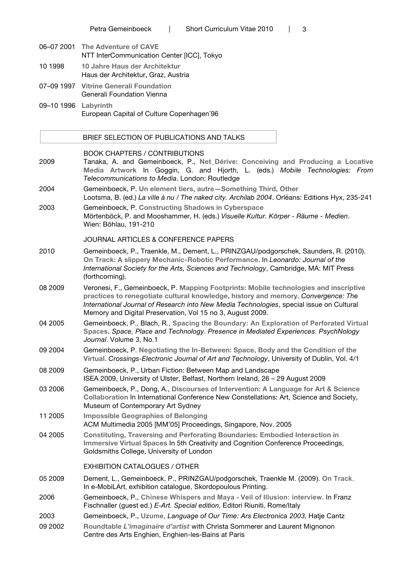- 06–07 2001 **The Adventure of CAVE** NTT InterCommunication Center [ICC], Tokyo 10 1998 **10 Jahre Haus der Architektur**
- Haus der Architektur, Graz, Austria 07–09 1997 **Vitrine Generali Foundation**
- Generali Foundation Vienna 09–10 1996 **Labyrinth** European Capital of Culture Copenhagen´96

### BRIEF SELECTION OF PUBLICATIONS AND TALKS

#### BOOK CHAPTERS / CONTRIBUTIONS

- 2009 Tanaka, A. and Gemeinboeck, P., **Net\_Dérive: Conceiving and Producing a Locative Media Artwork** In Goggin, G. and Hjorth, L. (eds.) *Mobile Technologies: From Telecommunications to Media*. London: Routledge
- 2004 Gemeinboeck, P. **Un element tiers, autre—Something Third, Other** Lootsma, B. (ed.) *La ville à nu / The naked city. Archilab 2004*. Orléans: Editions Hyx, 235-241
- 2003 Gemeinboeck, P. **Constructing Shadows in Cyberspace** Mörtenböck, P. and Mooshammer, H. (eds.) *Visuelle Kultur. Körper - Räume - Medien*. Wien: Böhlau, 191-210

# JOURNAL ARTICLES & CONFERENCE PAPERS

- 2010 Gemeinboeck, P., Traenkle, M., Dement, L., PRINZGAU/podgorschek, Saunders, R. (2010). **On Track: A slippery Mechanic-Robotic Performance**. In *Leonardo: Journal of the International Society for the Arts, Sciences and Technology*, Cambridge, MA: MIT Press (forthcoming).
- 08 2009 Veronesi, F., Gemeinboeck, P. **Mapping Footprints: Mobile technologies and inscriptive practices to renegotiate cultural knowledge, history and memory.** *Convergence: The International Journal of Research into New Media Technologies*, special issue on Cultural Memory and Digital Preservation, Vol 15 no 3, August 2009.
- 04 2005 Gemeinboeck, P., Blach, R., **Spacing the Boundary: An Exploration of Perforated Virtual Spaces.** *Space, Place and Technology. Presence in Mediated Experiences. PsychNology Journal*. Volume 3, No.1
- 09 2004 Gemeinboeck, P. **Negotiating the In-Between: Space, Body and the Condition of the Virtual.** *Crossings-Electronic Journal of Art and Technology*, University of Dublin, Vol. 4/1
- 08 2009 Gemeinboeck, P., Urban Fiction: Between Map and Landscape ISEA 2009, University of Ulster, Belfast, Northern Ireland, 26 – 29 August 2009
- 03 2006 Gemeinboeck, P., Dong, A., **Discourses of Intervention: A Language for Art & Science Collaboration** In International Conference New Constellations: Art, Science and Society, Museum of Contemporary Art Sydney
- 11 2005 **Impossible Geographies of Belonging** ACM Multimedia 2005 [MM'05] Proceedings, Singapore, Nov. 2005
- 04 2005 **Constituting, Traversing and Perforating Boundaries: Embodied Interaction in Immersive Virtual Spaces** In 5th Creativity and Cognition Conference Proceedings, Goldsmiths College, University of London

#### EXHIBITION CATALOGUES / OTHER

- 05 2009 Dement, L., Gemeinboeck, P., PRINZGAU/podgorschek, Traenkle M. (2009). **On Track**. In e-MobiLArt, exhibition catalogue, Skordopoulous Printing.
- 2006 Gemeinboeck, P., **Chinese Whispers and Maya Veil of Illusion: interview.** In Franz Fischnaller (guest ed.) *E-Art*. *Special edition*, Editori Riuniti, Rome/Italy
- 2003 Gemeinboeck, P., **Uzume,** *Language of Our Time: Ars Electronica 2003*, Hatje Cantz
- 09 2002 **Roundtable** *L'imaginaire d'artist* with Christa Sommerer and Laurent Mignonon Centre des Arts Enghien, Enghien-les-Bains at Paris